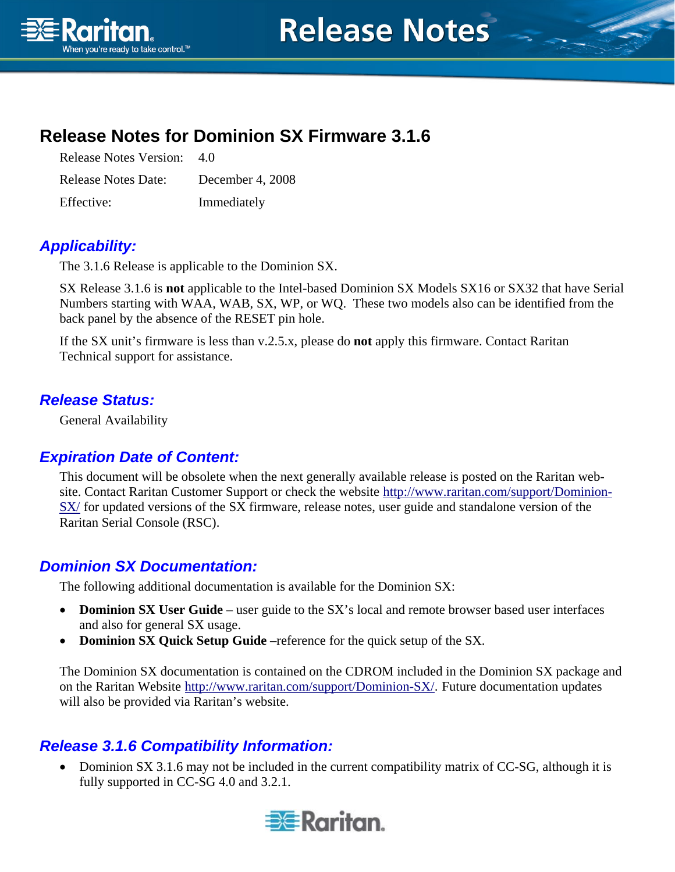

**Release Notes** 

# **Release Notes for Dominion SX Firmware 3.1.6**

Release Notes Version: 4.0 Release Notes Date: December 4, 2008 Effective: Immediately

## *Applicability:*

The 3.1.6 Release is applicable to the Dominion SX.

SX Release 3.1.6 is **not** applicable to the Intel-based Dominion SX Models SX16 or SX32 that have Serial Numbers starting with WAA, WAB, SX, WP, or WQ. These two models also can be identified from the back panel by the absence of the RESET pin hole.

If the SX unit's firmware is less than v.2.5.x, please do **not** apply this firmware. Contact Raritan Technical support for assistance.

#### *Release Status:*

General Availability

#### *Expiration Date of Content:*

This document will be obsolete when the next generally available release is posted on the Raritan website. Contact Raritan Customer Support or check the website http://www.raritan.com/support/Dominion-SX/ for updated versions of the SX firmware, release notes, user guide and standalone version of the Raritan Serial Console (RSC).

#### *Dominion SX Documentation:*

The following additional documentation is available for the Dominion SX:

- **Dominion SX User Guide** user guide to the SX's local and remote browser based user interfaces and also for general SX usage.
- **Dominion SX Quick Setup Guide** –reference for the quick setup of the SX.

The Dominion SX documentation is contained on the CDROM included in the Dominion SX package and on the Raritan Website http://www.raritan.com/support/Dominion-SX/. Future documentation updates will also be provided via Raritan's website.

#### *Release 3.1.6 Compatibility Information:*

• Dominion SX 3.1.6 may not be included in the current compatibility matrix of CC-SG, although it is fully supported in CC-SG 4.0 and 3.2.1.

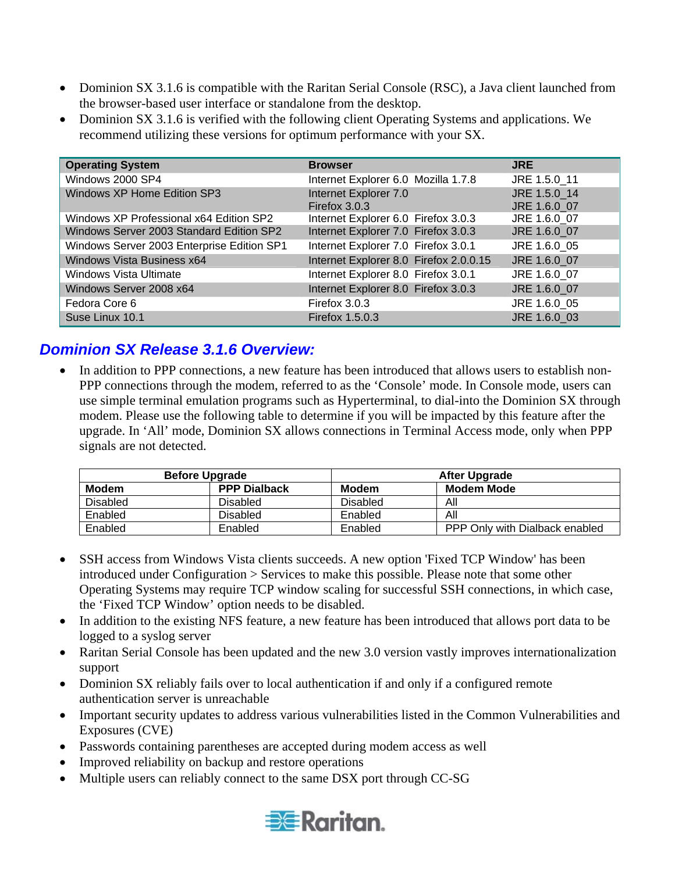- Dominion SX 3.1.6 is compatible with the Raritan Serial Console (RSC), a Java client launched from the browser-based user interface or standalone from the desktop.
- Dominion SX 3.1.6 is verified with the following client Operating Systems and applications. We recommend utilizing these versions for optimum performance with your SX.

| <b>Operating System</b>                    | <b>Browser</b>                         | <b>JRE</b>                   |
|--------------------------------------------|----------------------------------------|------------------------------|
| Windows 2000 SP4                           | Internet Explorer 6.0 Mozilla 1.7.8    | JRE 1.5.0 11                 |
| Windows XP Home Edition SP3                | Internet Explorer 7.0<br>Firefox 3.0.3 | JRE 1.5.0 14<br>JRE 1.6.0 07 |
| Windows XP Professional x64 Edition SP2    | Internet Explorer 6.0 Firefox 3.0.3    | JRE 1.6.0 07                 |
| Windows Server 2003 Standard Edition SP2   | Internet Explorer 7.0 Firefox 3.0.3    | JRE 1.6.0_07                 |
| Windows Server 2003 Enterprise Edition SP1 | Internet Explorer 7.0 Firefox 3.0.1    | JRE 1.6.0 05                 |
| Windows Vista Business x64                 | Internet Explorer 8.0 Firefox 2.0.0.15 | JRE 1.6.0 07                 |
| <b>Windows Vista Ultimate</b>              | Internet Explorer 8.0 Firefox 3.0.1    | JRE 1.6.0 07                 |
| Windows Server 2008 x64                    | Internet Explorer 8.0 Firefox 3.0.3    | JRE 1.6.0 07                 |
| Fedora Core 6                              | Firefox 3.0.3                          | JRE 1.6.0 05                 |
| Suse Linux 10.1                            | Firefox 1.5.0.3                        | JRE 1.6.0 03                 |

#### *Dominion SX Release 3.1.6 Overview:*

In addition to PPP connections, a new feature has been introduced that allows users to establish non-PPP connections through the modem, referred to as the 'Console' mode. In Console mode, users can use simple terminal emulation programs such as Hyperterminal, to dial-into the Dominion SX through modem. Please use the following table to determine if you will be impacted by this feature after the upgrade. In 'All' mode, Dominion SX allows connections in Terminal Access mode, only when PPP signals are not detected.

| <b>Before Upgrade</b> |                     |                 | <b>After Upgrade</b>           |
|-----------------------|---------------------|-----------------|--------------------------------|
| Modem                 | <b>PPP Dialback</b> | <b>Modem</b>    | <b>Modem Mode</b>              |
| <b>Disabled</b>       | Disabled            | <b>Disabled</b> | All                            |
| Enabled               | Disabled            | Enabled         | All                            |
| Enabled               | Enabled             | Enabled         | PPP Only with Dialback enabled |

- SSH access from Windows Vista clients succeeds. A new option 'Fixed TCP Window' has been introduced under Configuration > Services to make this possible. Please note that some other Operating Systems may require TCP window scaling for successful SSH connections, in which case, the 'Fixed TCP Window' option needs to be disabled.
- In addition to the existing NFS feature, a new feature has been introduced that allows port data to be logged to a syslog server
- Raritan Serial Console has been updated and the new 3.0 version vastly improves internationalization support
- Dominion SX reliably fails over to local authentication if and only if a configured remote authentication server is unreachable
- Important security updates to address various vulnerabilities listed in the Common Vulnerabilities and Exposures (CVE)
- Passwords containing parentheses are accepted during modem access as well
- Improved reliability on backup and restore operations
- Multiple users can reliably connect to the same DSX port through CC-SG

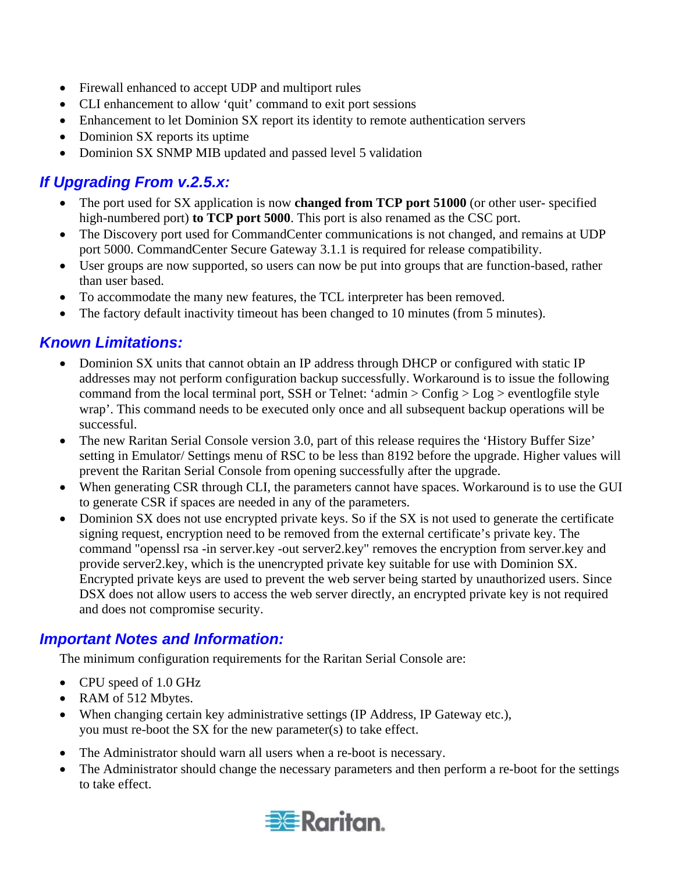- Firewall enhanced to accept UDP and multiport rules
- CLI enhancement to allow 'quit' command to exit port sessions
- Enhancement to let Dominion SX report its identity to remote authentication servers
- Dominion SX reports its uptime
- Dominion SX SNMP MIB updated and passed level 5 validation

# *If Upgrading From v.2.5.x:*

- The port used for SX application is now **changed from TCP port 51000** (or other user- specified high-numbered port) **to TCP port 5000**. This port is also renamed as the CSC port.
- The Discovery port used for CommandCenter communications is not changed, and remains at UDP port 5000. CommandCenter Secure Gateway 3.1.1 is required for release compatibility.
- User groups are now supported, so users can now be put into groups that are function-based, rather than user based.
- To accommodate the many new features, the TCL interpreter has been removed.
- The factory default inactivity timeout has been changed to 10 minutes (from 5 minutes).

## *Known Limitations:*

- Dominion SX units that cannot obtain an IP address through DHCP or configured with static IP addresses may not perform configuration backup successfully. Workaround is to issue the following command from the local terminal port, SSH or Telnet: 'admin > Config > Log > eventlogfile style wrap'. This command needs to be executed only once and all subsequent backup operations will be successful.
- The new Raritan Serial Console version 3.0, part of this release requires the 'History Buffer Size' setting in Emulator/ Settings menu of RSC to be less than 8192 before the upgrade. Higher values will prevent the Raritan Serial Console from opening successfully after the upgrade.
- When generating CSR through CLI, the parameters cannot have spaces. Workaround is to use the GUI to generate CSR if spaces are needed in any of the parameters.
- Dominion SX does not use encrypted private keys. So if the SX is not used to generate the certificate signing request, encryption need to be removed from the external certificate's private key. The command "openssl rsa -in server.key -out server2.key" removes the encryption from server.key and provide server2.key, which is the unencrypted private key suitable for use with Dominion SX. Encrypted private keys are used to prevent the web server being started by unauthorized users. Since DSX does not allow users to access the web server directly, an encrypted private key is not required and does not compromise security.

#### *Important Notes and Information:*

The minimum configuration requirements for the Raritan Serial Console are:

- CPU speed of 1.0 GHz
- RAM of 512 Mbytes.
- When changing certain key administrative settings (IP Address, IP Gateway etc.), you must re-boot the SX for the new parameter(s) to take effect.
- The Administrator should warn all users when a re-boot is necessary.
- The Administrator should change the necessary parameters and then perform a re-boot for the settings to take effect.

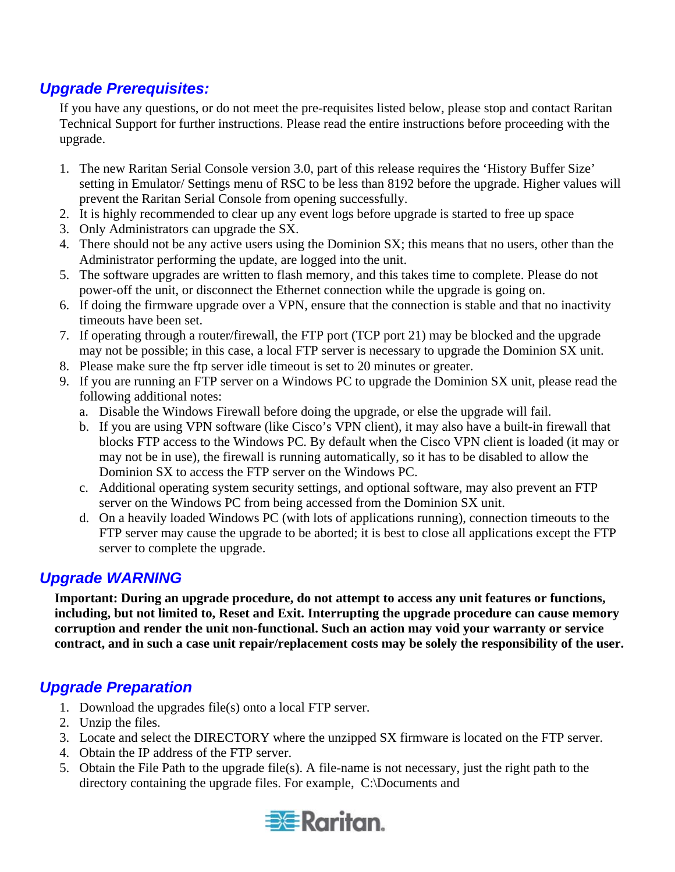#### *Upgrade Prerequisites:*

If you have any questions, or do not meet the pre-requisites listed below, please stop and contact Raritan Technical Support for further instructions. Please read the entire instructions before proceeding with the upgrade.

- 1. The new Raritan Serial Console version 3.0, part of this release requires the 'History Buffer Size' setting in Emulator/ Settings menu of RSC to be less than 8192 before the upgrade. Higher values will prevent the Raritan Serial Console from opening successfully.
- 2. It is highly recommended to clear up any event logs before upgrade is started to free up space
- 3. Only Administrators can upgrade the SX.
- 4. There should not be any active users using the Dominion SX; this means that no users, other than the Administrator performing the update, are logged into the unit.
- 5. The software upgrades are written to flash memory, and this takes time to complete. Please do not power-off the unit, or disconnect the Ethernet connection while the upgrade is going on.
- 6. If doing the firmware upgrade over a VPN, ensure that the connection is stable and that no inactivity timeouts have been set.
- 7. If operating through a router/firewall, the FTP port (TCP port 21) may be blocked and the upgrade may not be possible; in this case, a local FTP server is necessary to upgrade the Dominion SX unit.
- 8. Please make sure the ftp server idle timeout is set to 20 minutes or greater.
- 9. If you are running an FTP server on a Windows PC to upgrade the Dominion SX unit, please read the following additional notes:
	- a. Disable the Windows Firewall before doing the upgrade, or else the upgrade will fail.
	- b. If you are using VPN software (like Cisco's VPN client), it may also have a built-in firewall that blocks FTP access to the Windows PC. By default when the Cisco VPN client is loaded (it may or may not be in use), the firewall is running automatically, so it has to be disabled to allow the Dominion SX to access the FTP server on the Windows PC.
	- c. Additional operating system security settings, and optional software, may also prevent an FTP server on the Windows PC from being accessed from the Dominion SX unit.
	- d. On a heavily loaded Windows PC (with lots of applications running), connection timeouts to the FTP server may cause the upgrade to be aborted; it is best to close all applications except the FTP server to complete the upgrade.

#### *Upgrade WARNING*

**Important: During an upgrade procedure, do not attempt to access any unit features or functions, including, but not limited to, Reset and Exit. Interrupting the upgrade procedure can cause memory corruption and render the unit non-functional. Such an action may void your warranty or service contract, and in such a case unit repair/replacement costs may be solely the responsibility of the user.** 

## *Upgrade Preparation*

- 1. Download the upgrades file(s) onto a local FTP server.
- 2. Unzip the files.
- 3. Locate and select the DIRECTORY where the unzipped SX firmware is located on the FTP server.
- 4. Obtain the IP address of the FTP server.
- 5. Obtain the File Path to the upgrade file(s). A file-name is not necessary, just the right path to the directory containing the upgrade files. For example, C:\Documents and

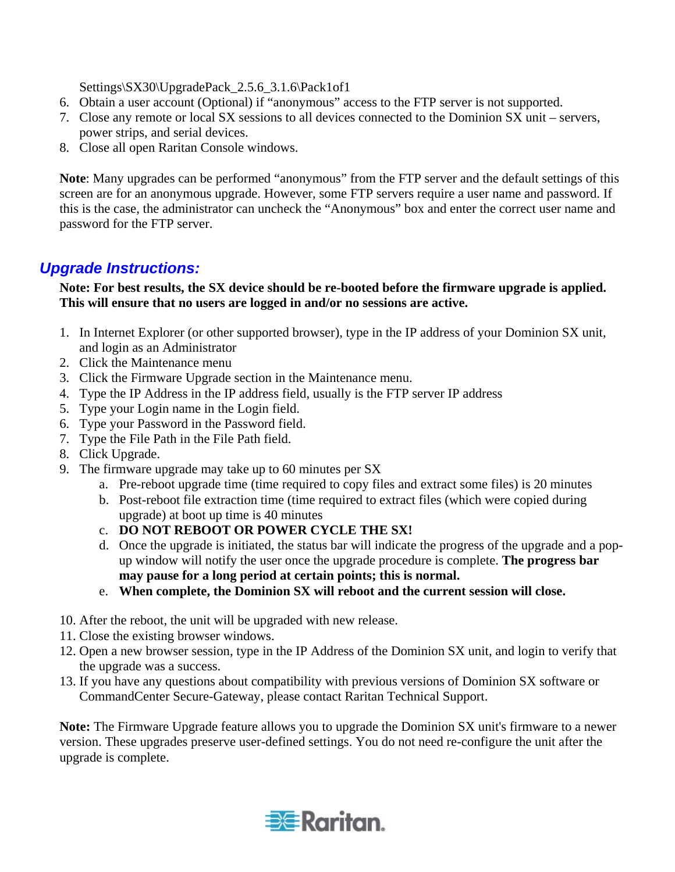Settings\SX30\UpgradePack\_2.5.6\_3.1.6\Pack1of1

- 6. Obtain a user account (Optional) if "anonymous" access to the FTP server is not supported.
- 7. Close any remote or local SX sessions to all devices connected to the Dominion SX unit servers, power strips, and serial devices.
- 8. Close all open Raritan Console windows.

**Note**: Many upgrades can be performed "anonymous" from the FTP server and the default settings of this screen are for an anonymous upgrade. However, some FTP servers require a user name and password. If this is the case, the administrator can uncheck the "Anonymous" box and enter the correct user name and password for the FTP server.

#### *Upgrade Instructions:*

#### **Note: For best results, the SX device should be re-booted before the firmware upgrade is applied. This will ensure that no users are logged in and/or no sessions are active.**

- 1. In Internet Explorer (or other supported browser), type in the IP address of your Dominion SX unit, and login as an Administrator
- 2. Click the Maintenance menu
- 3. Click the Firmware Upgrade section in the Maintenance menu.
- 4. Type the IP Address in the IP address field, usually is the FTP server IP address
- 5. Type your Login name in the Login field.
- 6. Type your Password in the Password field.
- 7. Type the File Path in the File Path field.
- 8. Click Upgrade.
- 9. The firmware upgrade may take up to 60 minutes per SX
	- a. Pre-reboot upgrade time (time required to copy files and extract some files) is 20 minutes
	- b. Post-reboot file extraction time (time required to extract files (which were copied during upgrade) at boot up time is 40 minutes
	- c. **DO NOT REBOOT OR POWER CYCLE THE SX!**
	- d. Once the upgrade is initiated, the status bar will indicate the progress of the upgrade and a popup window will notify the user once the upgrade procedure is complete. **The progress bar may pause for a long period at certain points; this is normal.**
	- e. **When complete, the Dominion SX will reboot and the current session will close.**
- 10. After the reboot, the unit will be upgraded with new release.
- 11. Close the existing browser windows.
- 12. Open a new browser session, type in the IP Address of the Dominion SX unit, and login to verify that the upgrade was a success.
- 13. If you have any questions about compatibility with previous versions of Dominion SX software or CommandCenter Secure-Gateway, please contact Raritan Technical Support.

**Note:** The Firmware Upgrade feature allows you to upgrade the Dominion SX unit's firmware to a newer version. These upgrades preserve user-defined settings. You do not need re-configure the unit after the upgrade is complete.